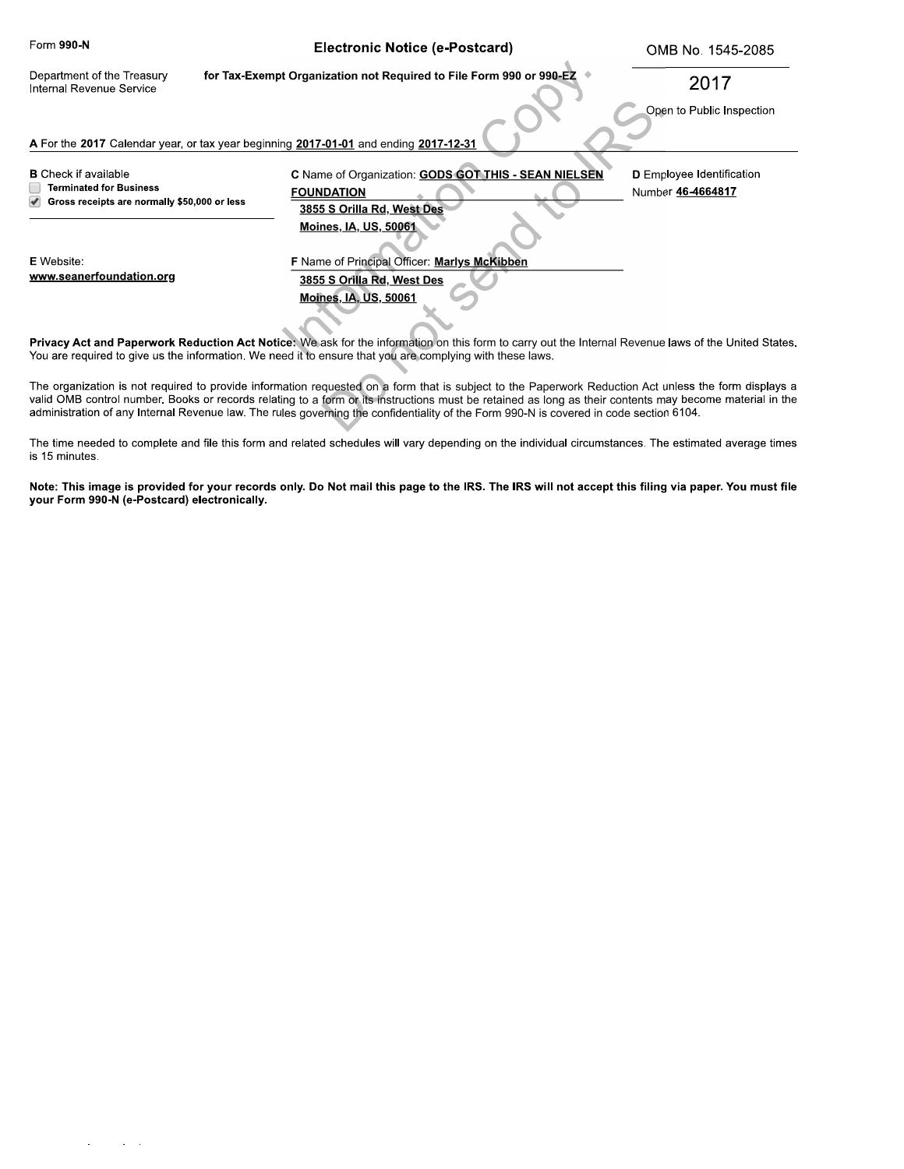| Form 990-N                                                                                                    | Electronic Notice (e-Postcard)                                                                                                             | OMB No. 1545-2085                                     |
|---------------------------------------------------------------------------------------------------------------|--------------------------------------------------------------------------------------------------------------------------------------------|-------------------------------------------------------|
| Department of the Treasury<br>Internal Revenue Service                                                        | for Tax-Exempt Organization not Required to File Form 990 or 990-EZ                                                                        | 2017                                                  |
|                                                                                                               |                                                                                                                                            | Open to Public Inspection                             |
| A For the 2017 Calendar year, or tax year beginning 2017-01-01 and ending 2017-12-31                          |                                                                                                                                            |                                                       |
| <b>B</b> Check if available<br><b>Terminated for Business</b><br>Gross receipts are normally \$50,000 or less | C Name of Organization: GODS GOT THIS - SEAN NIELSEN<br><b>FOUNDATION</b><br>3855 S Orilla Rd, West Des                                    | <b>D</b> Employee Identification<br>Number 46-4664817 |
| E Website:<br>www.seanerfoundation.org                                                                        | <b>Moines, IA, US, 50061</b><br>F Name of Principal Officer: Marlys McKibben<br>3855 S Orilla Rd, West Des<br><b>Moines, IA, US, 50061</b> |                                                       |

Privacy Act and Paperwork Reduction Act Notice: We ask for the information on this form to carry out the Internal Revenue laws of the United States. You are required to give us the information. We need it to ensure that you are complying with these laws.

The organization is not required to provide information requested on a form that is subject to the Paperwork Reduction Act unless the form displays a valid OMB control number. Books or records relating to a form or its instructions must be retained as long as their contents may become material in the administration of any Internal Revenue law. The rules governing the confidentiality of the Form 990-N is covered in code section 6104.

The time needed to complete and file this form and related schedules will vary depending on the individual circumstances. The estimated average times is 15 minutes.

**Note: This image is provided for your records only. Do Not mail this page to the IRS. The IRS will not accept this filing via paper. You must file your Form 990-N (c-Postcard) electronically.**